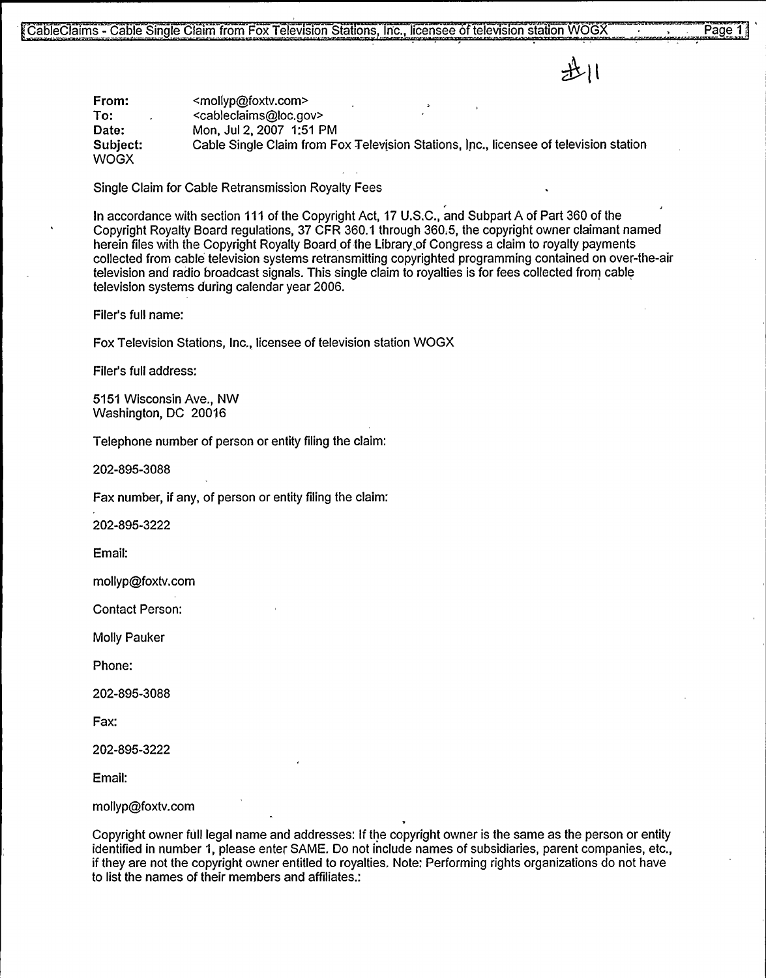$2811$ 

From: To: Date: Subject: WOGX <mollyp@foxtv.com> <cableclaims@loc.gov> Mon, Jul 2,2007 1:51 PM Cable Single Claim from Fox Television Stations, Inc., licensee of television station

Single Claim for Cable Retransmission Royalty Fees

In accordance with section 111 of the Copyright Act, 17 U.S.C., and Subpart A of Part 360 of the Copyright Royalty Board regulations, 37 CFR 360.1 through 360,5, the copyright owner claimant named herein files with the Copyright Royalty Board of the Library.of Congress a claim to royalty payments collected from cable television systems retransmitting copyrighted programming contained on over-the-air television and radio broadcast signals. This single claim to royalties is for fees collected from cable television systems during calendar year 2006.

Filer's full name:

Fox Television Stations, Inc., licensee of television station WOGX

Filer's full address:

5151 Wisconsin Ave., NW Washington, DC 20016

Telephone number of person or entity filing the claim:

202-895-3088

Fax number, if any, of person or entity filing the claim:

202-895-3222

Email:

mollyp@foxtv.com

Contact Person:

Molly Pauker

Phone:

202-895-3088

Fax:

202-895-3222 mollow and compared the correction of the correction of the correction of the correction of the correction of the correction of the correction of the correction of the correction of the correction of the correction of the

Email:

mollyp@foxtv.com

Copyright owner full legal name and addresses: If the copyright owner is the same as the person or entity identified in number 1, please enter SAME. Do not include names of subsidiaries, parent companies, etc., if they are not the copyright owner entitled to royalties. Note: Performing rights organizations do not have to list the names of their members and affiliates.:

t